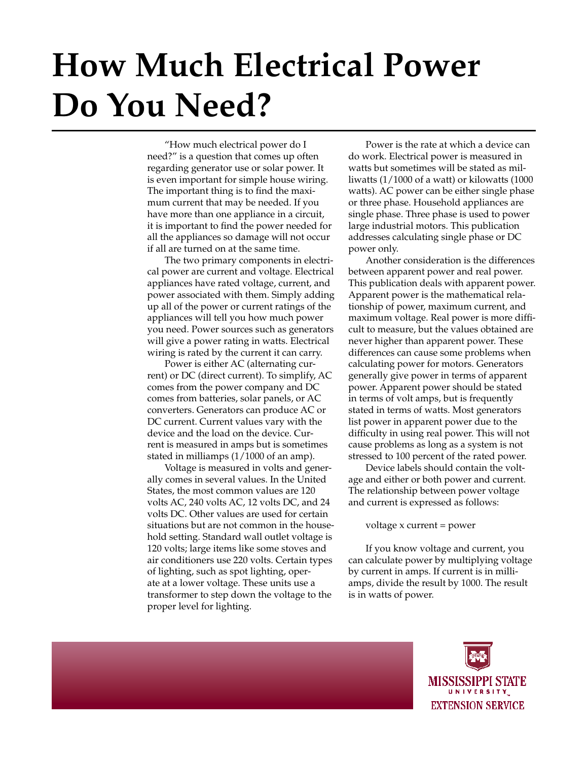## **How Much Electrical Power Do You Need?**

"How much electrical power do I need?" is a question that comes up often regarding generator use or solar power. It is even important for simple house wiring. The important thing is to find the maximum current that may be needed. If you have more than one appliance in a circuit, it is important to find the power needed for all the appliances so damage will not occur if all are turned on at the same time.

The two primary components in electrical power are current and voltage. Electrical appliances have rated voltage, current, and power associated with them. Simply adding up all of the power or current ratings of the appliances will tell you how much power you need. Power sources such as generators will give a power rating in watts. Electrical wiring is rated by the current it can carry.

Power is either AC (alternating current) or DC (direct current). To simplify, AC comes from the power company and DC comes from batteries, solar panels, or AC converters. Generators can produce AC or DC current. Current values vary with the device and the load on the device. Current is measured in amps but is sometimes stated in milliamps (1/1000 of an amp).

Voltage is measured in volts and generally comes in several values. In the United States, the most common values are 120 volts AC, 240 volts AC, 12 volts DC, and 24 volts DC. Other values are used for certain situations but are not common in the household setting. Standard wall outlet voltage is 120 volts; large items like some stoves and air conditioners use 220 volts. Certain types of lighting, such as spot lighting, operate at a lower voltage. These units use a transformer to step down the voltage to the proper level for lighting.

Power is the rate at which a device can do work. Electrical power is measured in watts but sometimes will be stated as milliwatts (1/1000 of a watt) or kilowatts (1000 watts). AC power can be either single phase or three phase. Household appliances are single phase. Three phase is used to power large industrial motors. This publication addresses calculating single phase or DC power only.

Another consideration is the differences between apparent power and real power. This publication deals with apparent power. Apparent power is the mathematical relationship of power, maximum current, and maximum voltage. Real power is more difficult to measure, but the values obtained are never higher than apparent power. These differences can cause some problems when calculating power for motors. Generators generally give power in terms of apparent power. Apparent power should be stated in terms of volt amps, but is frequently stated in terms of watts. Most generators list power in apparent power due to the difficulty in using real power. This will not cause problems as long as a system is not stressed to 100 percent of the rated power.

Device labels should contain the voltage and either or both power and current. The relationship between power voltage and current is expressed as follows:

voltage x current = power

If you know voltage and current, you can calculate power by multiplying voltage by current in amps. If current is in milliamps, divide the result by 1000. The result is in watts of power.